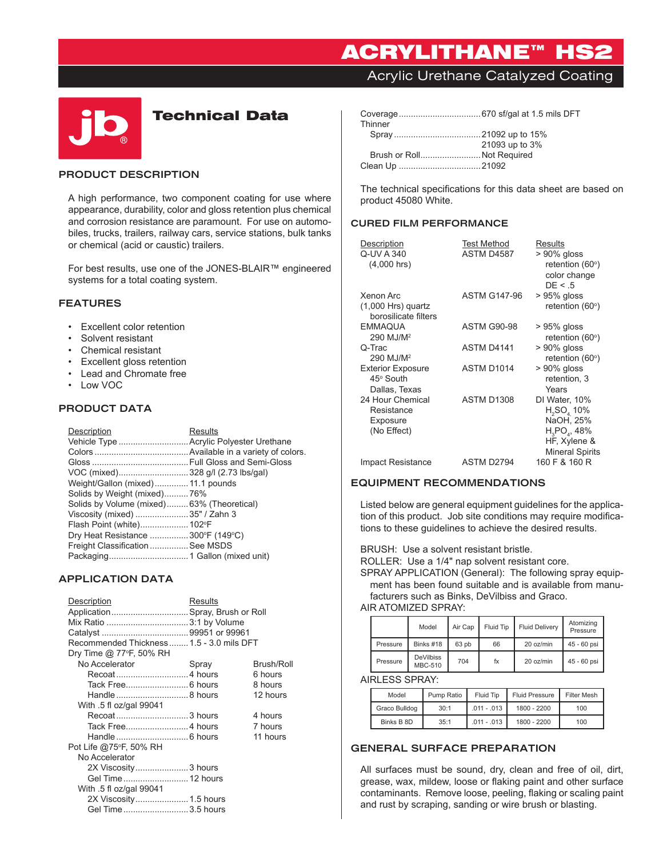# ACRYLITHANE™ HS2

Acrylic Urethane Catalyzed Coating



# Technical Data

#### **PRODUCT DESCRIPTION**

A high performance, two component coating for use where appearance, durability, color and gloss retention plus chemical and corrosion resistance are paramount. For use on automobiles, trucks, trailers, railway cars, service stations, bulk tanks or chemical (acid or caustic) trailers.

For best results, use one of the JONES-BLAIR™ engineered systems for a total coating system.

#### **FEATURES**

- • Excellent color retention
- • Solvent resistant
- • Chemical resistant
- • Excellent gloss retention
- • Lead and Chromate free
- • Low VOC

### **PRODUCT DATA**

| Description                               | <b>Results</b> |
|-------------------------------------------|----------------|
| Vehicle Type  Acrylic Polyester Urethane  |                |
|                                           |                |
|                                           |                |
| VOC (mixed)328 g/l (2.73 lbs/gal)         |                |
| Weight/Gallon (mixed) 11.1 pounds         |                |
| Solids by Weight (mixed)76%               |                |
| Solids by Volume (mixed)63% (Theoretical) |                |
| Viscosity (mixed) 35" / Zahn 3            |                |
| Flash Point (white) 102°F                 |                |
| Dry Heat Resistance 300°F (149°C)         |                |
| Freight Classification  See MSDS          |                |
|                                           |                |

# **APPLICATION DATA**

| Description<br>Application Spray, Brush or Roll<br>Recommended Thickness 1.5 - 3.0 mils DFT<br>Dry Time @ 77°F, 50% RH | <b>Results</b> |            |
|------------------------------------------------------------------------------------------------------------------------|----------------|------------|
| No Accelerator                                                                                                         | Spray          | Brush/Roll |
|                                                                                                                        |                | 6 hours    |
|                                                                                                                        |                | 8 hours    |
|                                                                                                                        |                | 12 hours   |
| With .5 fl oz/gal 99041                                                                                                |                |            |
|                                                                                                                        |                | 4 hours    |
|                                                                                                                        |                | 7 hours    |
|                                                                                                                        |                | 11 hours   |
| Pot Life @75°F, 50% RH                                                                                                 |                |            |
| No Accelerator                                                                                                         |                |            |
| 2X Viscosity3 hours                                                                                                    |                |            |
| Gel Time  12 hours                                                                                                     |                |            |
| With .5 fl oz/gal 99041                                                                                                |                |            |
| 2X Viscosity 1.5 hours                                                                                                 |                |            |
| Gel Time3.5 hours                                                                                                      |                |            |

| Thinner |                            |
|---------|----------------------------|
|         |                            |
|         | 21093 up to 3%             |
|         | Brush or Roll Not Required |
|         |                            |

The technical specifications for this data sheet are based on product 45080 White.

#### **CURED FILM PERFORMANCE**

| Description<br>Q-UV A 340<br>$(4,000$ hrs)                | <b>Test Method</b><br>ASTM D4587 | Results<br>$> 90\%$ gloss<br>retention (60°)<br>color change<br>DE < 0.5                                                      |
|-----------------------------------------------------------|----------------------------------|-------------------------------------------------------------------------------------------------------------------------------|
| Xenon Arc<br>$(1,000$ Hrs) quartz<br>borosilicate filters | <b>ASTM G147-96</b>              | $>95\%$ gloss<br>retention $(60°)$                                                                                            |
| <b>EMMAQUA</b><br>290 MJ/M <sup>2</sup>                   | <b>ASTM G90-98</b>               | $>95\%$ gloss<br>retention (60°)                                                                                              |
| Q-Trac<br>290 MJ/M <sup>2</sup>                           | ASTM D4141                       | $> 90\%$ gloss<br>retention (60°)                                                                                             |
| <b>Exterior Exposure</b><br>45° South<br>Dallas, Texas    | ASTM D1014                       | $> 90\%$ gloss<br>retention, 3<br>Years                                                                                       |
| 24 Hour Chemical<br>Resistance<br>Exposure<br>(No Effect) | <b>ASTM D1308</b>                | DI Water, 10%<br>$H_2SO_4$ 10%<br>NaOH, 25%<br>H <sub>2</sub> PO <sub>4</sub> , 48%<br>HF, Xylene &<br><b>Mineral Spirits</b> |
| Impact Resistance                                         | ASTM D2794                       | 160 F & 160 R                                                                                                                 |

#### **EQUIPMENT RECOMMENDATIONS**

Listed below are general equipment guidelines for the application of this product. Job site conditions may require modifications to these guidelines to achieve the desired results.

BRUSH: Use a solvent resistant bristle.

ROLLER: Use a 1/4" nap solvent resistant core.

SPRAY APPLICATION (General): The following spray equipment has been found suitable and is available from manufacturers such as Binks, DeVilbiss and Graco.

#### AIR ATOMIZED SPRAY:

|          | Model                              | Air Cap | Fluid Tip | <b>Fluid Delivery</b> | Atomizing<br>Pressure |
|----------|------------------------------------|---------|-----------|-----------------------|-----------------------|
| Pressure | Binks #18                          | 63 pb   | 66        | 20 oz/min             | 45 - 60 psi           |
| Pressure | <b>DeVilbiss</b><br><b>MBC-510</b> | 704     | fx        | 20 oz/min             | 45 - 60 psi           |

#### AIRLESS SPRAY:

| Model         | Pump Ratio | Fluid Tip     | <b>Fluid Pressure</b> | <b>Filter Mesh</b> |
|---------------|------------|---------------|-----------------------|--------------------|
| Graco Bulldog | 30:1       | $.011 - .013$ | 1800 - 2200           | 100                |
| Binks B 8D    | 35:1       | $.011 - .013$ | 1800 - 2200           | 100                |

## **GENERAL SURFACE PREPARATION**

All surfaces must be sound, dry, clean and free of oil, dirt, grease, wax, mildew, loose or flaking paint and other surface contaminants. Remove loose, peeling, flaking or scaling paint and rust by scraping, sanding or wire brush or blasting.